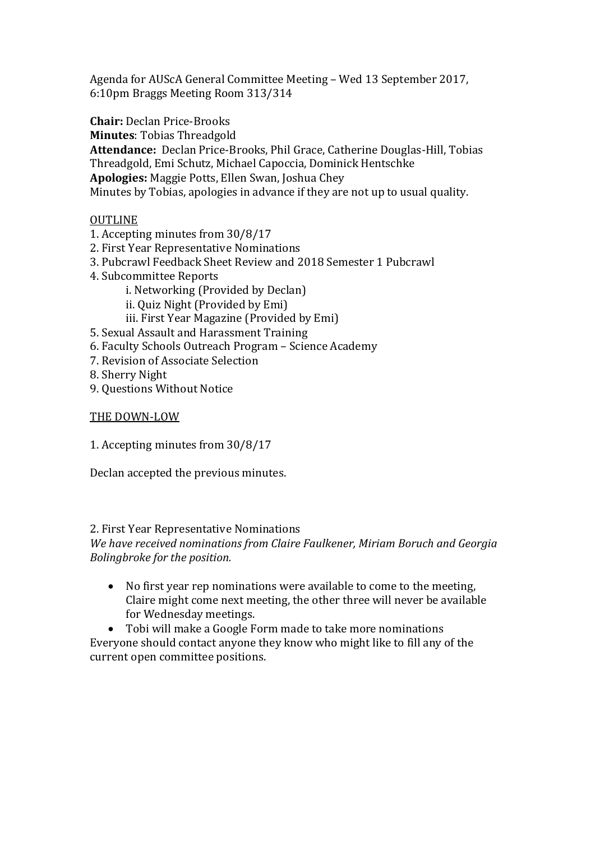Agenda for AUScA General Committee Meeting – Wed 13 September 2017, 6:10pm Braggs Meeting Room 313/314

**Chair:** Declan Price-Brooks

**Minutes**: Tobias Threadgold

**Attendance:** Declan Price-Brooks, Phil Grace, Catherine Douglas-Hill, Tobias Threadgold, Emi Schutz, Michael Capoccia, Dominick Hentschke **Apologies:** Maggie Potts, Ellen Swan, Joshua Chey Minutes by Tobias, apologies in advance if they are not up to usual quality.

# OUTLINE

- 1. Accepting minutes from 30/8/17
- 2. First Year Representative Nominations
- 3. Pubcrawl Feedback Sheet Review and 2018 Semester 1 Pubcrawl
- 4. Subcommittee Reports
	- i. Networking (Provided by Declan)
	- ii. Quiz Night (Provided by Emi)
	- iii. First Year Magazine (Provided by Emi)
- 5. Sexual Assault and Harassment Training
- 6. Faculty Schools Outreach Program Science Academy
- 7. Revision of Associate Selection
- 8. Sherry Night
- 9. Questions Without Notice

# THE DOWN-LOW

1. Accepting minutes from 30/8/17

Declan accepted the previous minutes.

# 2. First Year Representative Nominations

*We have received nominations from Claire Faulkener, Miriam Boruch and Georgia Bolingbroke for the position.* 

 No first year rep nominations were available to come to the meeting, Claire might come next meeting, the other three will never be available for Wednesday meetings.

 Tobi will make a Google Form made to take more nominations Everyone should contact anyone they know who might like to fill any of the current open committee positions.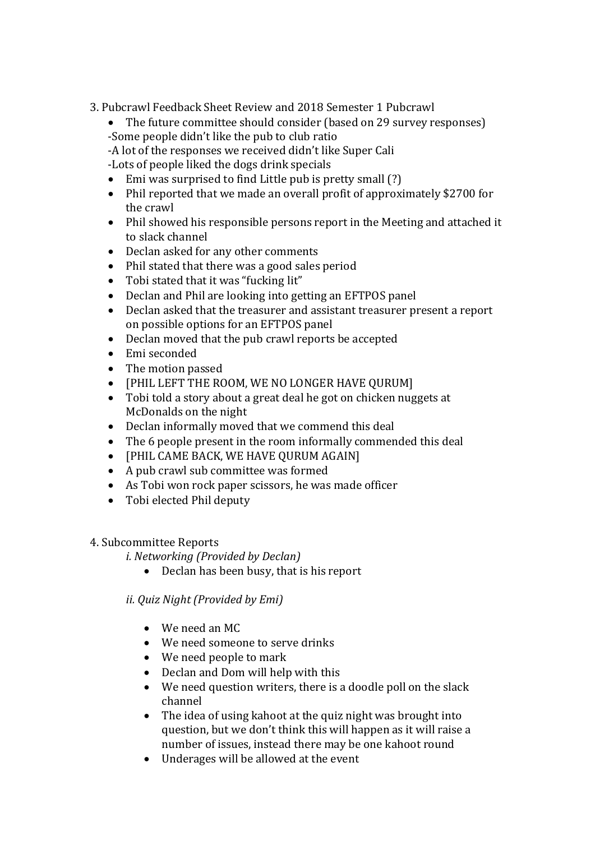- 3. Pubcrawl Feedback Sheet Review and 2018 Semester 1 Pubcrawl
	- The future committee should consider (based on 29 survey responses)
	- -Some people didn't like the pub to club ratio
	- -A lot of the responses we received didn't like Super Cali
	- -Lots of people liked the dogs drink specials
	- Emi was surprised to find Little pub is pretty small (?)
	- Phil reported that we made an overall profit of approximately \$2700 for the crawl
	- Phil showed his responsible persons report in the Meeting and attached it to slack channel
	- Declan asked for any other comments
	- Phil stated that there was a good sales period
	- Tobi stated that it was "fucking lit"
	- Declan and Phil are looking into getting an EFTPOS panel
	- Declan asked that the treasurer and assistant treasurer present a report on possible options for an EFTPOS panel
	- Declan moved that the pub crawl reports be accepted
	- Emi seconded
	- The motion passed
	- [PHIL LEFT THE ROOM, WE NO LONGER HAVE QURUM]
	- Tobi told a story about a great deal he got on chicken nuggets at McDonalds on the night
	- Declan informally moved that we commend this deal
	- The 6 people present in the room informally commended this deal
	- [PHIL CAME BACK, WE HAVE OURUM AGAIN]
	- A pub crawl sub committee was formed
	- As Tobi won rock paper scissors, he was made officer
	- Tobi elected Phil deputy

# 4. Subcommittee Reports

- *i. Networking (Provided by Declan)*
	- Declan has been busy, that is his report

# *ii. Quiz Night (Provided by Emi)*

- We need an MC
- We need someone to serve drinks
- We need people to mark
- Declan and Dom will help with this
- We need question writers, there is a doodle poll on the slack channel
- The idea of using kahoot at the quiz night was brought into question, but we don't think this will happen as it will raise a number of issues, instead there may be one kahoot round
- Underages will be allowed at the event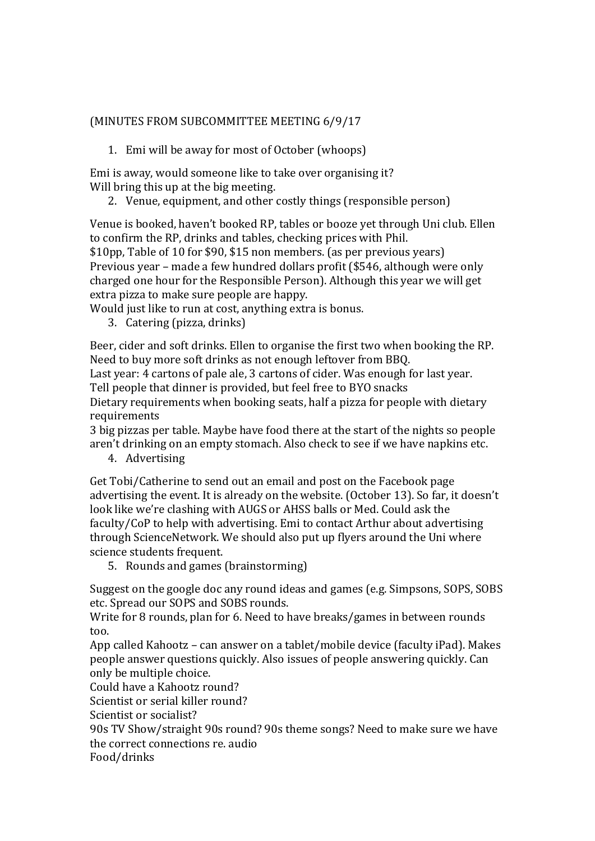### (MINUTES FROM SUBCOMMITTEE MEETING 6/9/17

1. Emi will be away for most of October (whoops)

Emi is away, would someone like to take over organising it? Will bring this up at the big meeting.

2. Venue, equipment, and other costly things (responsible person)

Venue is booked, haven't booked RP, tables or booze yet through Uni club. Ellen to confirm the RP, drinks and tables, checking prices with Phil.

\$10pp, Table of 10 for \$90, \$15 non members. (as per previous years) Previous year – made a few hundred dollars profit (\$546, although were only charged one hour for the Responsible Person). Although this year we will get extra pizza to make sure people are happy.

Would just like to run at cost, anything extra is bonus.

3. Catering (pizza, drinks)

Beer, cider and soft drinks. Ellen to organise the first two when booking the RP. Need to buy more soft drinks as not enough leftover from BBQ.

Last year: 4 cartons of pale ale, 3 cartons of cider. Was enough for last year.

Tell people that dinner is provided, but feel free to BYO snacks

Dietary requirements when booking seats, half a pizza for people with dietary requirements

3 big pizzas per table. Maybe have food there at the start of the nights so people aren't drinking on an empty stomach. Also check to see if we have napkins etc.

4. Advertising

Get Tobi/Catherine to send out an email and post on the Facebook page advertising the event. It is already on the website. (October 13). So far, it doesn't look like we're clashing with AUGS or AHSS balls or Med. Could ask the faculty/CoP to help with advertising. Emi to contact Arthur about advertising through ScienceNetwork. We should also put up flyers around the Uni where science students frequent.

5. Rounds and games (brainstorming)

Suggest on the google doc any round ideas and games (e.g. Simpsons, SOPS, SOBS etc. Spread our SOPS and SOBS rounds.

Write for 8 rounds, plan for 6. Need to have breaks/games in between rounds too.

App called Kahootz – can answer on a tablet/mobile device (faculty iPad). Makes people answer questions quickly. Also issues of people answering quickly. Can only be multiple choice.

Could have a Kahootz round?

Scientist or serial killer round?

Scientist or socialist?

90s TV Show/straight 90s round? 90s theme songs? Need to make sure we have the correct connections re. audio

Food/drinks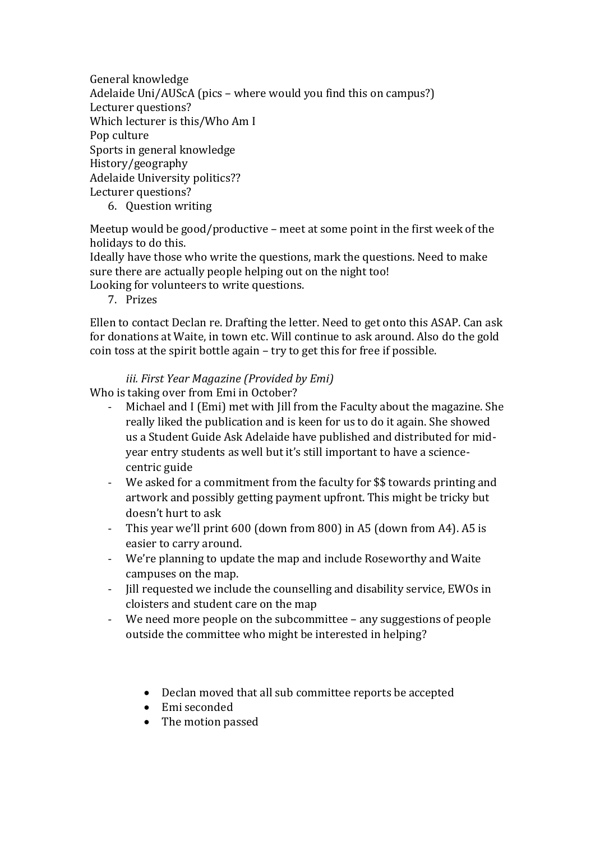General knowledge Adelaide Uni/AUScA (pics – where would you find this on campus?) Lecturer questions? Which lecturer is this/Who Am I Pop culture Sports in general knowledge History/geography Adelaide University politics?? Lecturer questions?

6. Question writing

Meetup would be good/productive – meet at some point in the first week of the holidays to do this.

Ideally have those who write the questions, mark the questions. Need to make sure there are actually people helping out on the night too!

Looking for volunteers to write questions.

7. Prizes

Ellen to contact Declan re. Drafting the letter. Need to get onto this ASAP. Can ask for donations at Waite, in town etc. Will continue to ask around. Also do the gold coin toss at the spirit bottle again – try to get this for free if possible.

### *iii. First Year Magazine (Provided by Emi)*

Who is taking over from Emi in October?

- Michael and I (Emi) met with Jill from the Faculty about the magazine. She really liked the publication and is keen for us to do it again. She showed us a Student Guide Ask Adelaide have published and distributed for midyear entry students as well but it's still important to have a sciencecentric guide
- We asked for a commitment from the faculty for \$\$ towards printing and artwork and possibly getting payment upfront. This might be tricky but doesn't hurt to ask
- This year we'll print 600 (down from 800) in A5 (down from A4). A5 is easier to carry around.
- We're planning to update the map and include Roseworthy and Waite campuses on the map.
- Jill requested we include the counselling and disability service, EWOs in cloisters and student care on the map
- We need more people on the subcommittee any suggestions of people outside the committee who might be interested in helping?
	- Declan moved that all sub committee reports be accepted
	- Emi seconded
	- The motion passed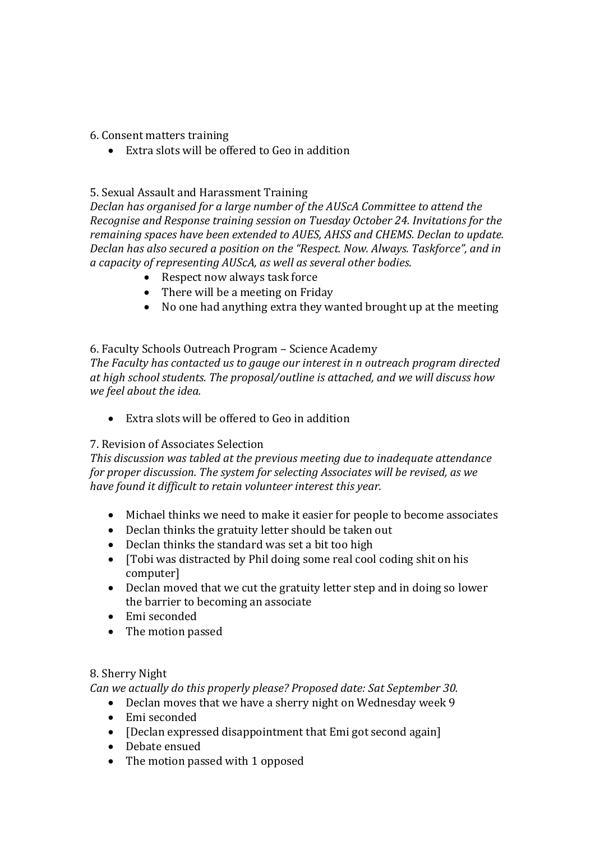#### 6. Consent matters training

Extra slots will be offered to Geo in addition

#### 5. Sexual Assault and Harassment Training

*Declan has organised for a large number of the AUScA Committee to attend the Recognise and Response training session on Tuesday October 24. Invitations for the remaining spaces have been extended to AUES, AHSS and CHEMS. Declan to update. Declan has also secured a position on the "Respect. Now. Always. Taskforce", and in a capacity of representing AUScA, as well as several other bodies.*

- Respect now always task force
- There will be a meeting on Friday
- No one had anything extra they wanted brought up at the meeting

### 6. Faculty Schools Outreach Program – Science Academy

*The Faculty has contacted us to gauge our interest in n outreach program directed at high school students. The proposal/outline is attached, and we will discuss how we feel about the idea.*

Extra slots will be offered to Geo in addition

### 7. Revision of Associates Selection

*This discussion was tabled at the previous meeting due to inadequate attendance for proper discussion. The system for selecting Associates will be revised, as we have found it difficult to retain volunteer interest this year.*

- Michael thinks we need to make it easier for people to become associates
- Declan thinks the gratuity letter should be taken out
- Declan thinks the standard was set a bit too high
- [Tobi was distracted by Phil doing some real cool coding shit on his computer]
- Declan moved that we cut the gratuity letter step and in doing so lower the barrier to becoming an associate
- Emi seconded
- The motion passed

### 8. Sherry Night

*Can we actually do this properly please? Proposed date: Sat September 30.*

- Declan moves that we have a sherry night on Wednesday week 9
- Emi seconded
- $\bullet$  [Declan expressed disappointment that Emi got second again]
- Debate ensued
- The motion passed with 1 opposed